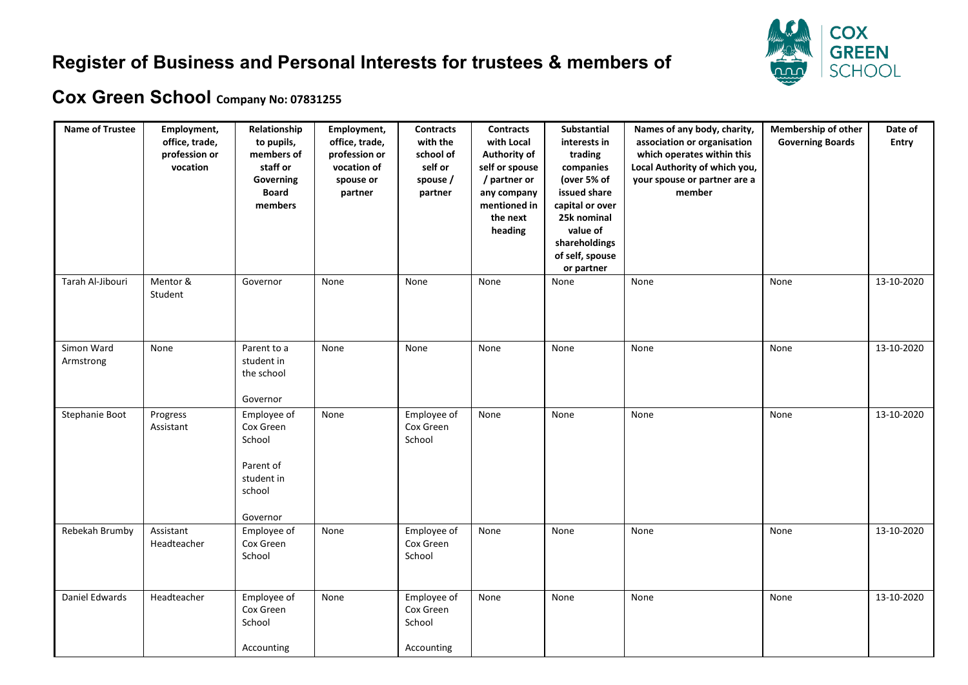## **Register of Business and Personal Interests for trustees & members of**



## **Cox Green School Company No: 07831255**

| <b>Name of Trustee</b>  | Employment,<br>office, trade,<br>profession or<br>vocation | Relationship<br>to pupils,<br>members of<br>staff or<br>Governing<br><b>Board</b><br>members | Employment,<br>office, trade,<br>profession or<br>vocation of<br>spouse or<br>partner | <b>Contracts</b><br>with the<br>school of<br>self or<br>spouse /<br>partner | <b>Contracts</b><br>with Local<br>Authority of<br>self or spouse<br>/ partner or<br>any company<br>mentioned in<br>the next<br>heading | Substantial<br>interests in<br>trading<br>companies<br>(over 5% of<br>issued share<br>capital or over<br>25k nominal<br>value of<br>shareholdings<br>of self, spouse<br>or partner | Names of any body, charity,<br>association or organisation<br>which operates within this<br>Local Authority of which you,<br>your spouse or partner are a<br>member | Membership of other<br><b>Governing Boards</b> | Date of<br><b>Entry</b> |
|-------------------------|------------------------------------------------------------|----------------------------------------------------------------------------------------------|---------------------------------------------------------------------------------------|-----------------------------------------------------------------------------|----------------------------------------------------------------------------------------------------------------------------------------|------------------------------------------------------------------------------------------------------------------------------------------------------------------------------------|---------------------------------------------------------------------------------------------------------------------------------------------------------------------|------------------------------------------------|-------------------------|
| Tarah Al-Jibouri        | Mentor &<br>Student                                        | Governor                                                                                     | None                                                                                  | None                                                                        | None                                                                                                                                   | None                                                                                                                                                                               | None                                                                                                                                                                | None                                           | 13-10-2020              |
| Simon Ward<br>Armstrong | None                                                       | Parent to a<br>student in<br>the school<br>Governor                                          | None                                                                                  | None                                                                        | None                                                                                                                                   | None                                                                                                                                                                               | None                                                                                                                                                                | None                                           | 13-10-2020              |
| Stephanie Boot          | Progress<br>Assistant                                      | Employee of<br>Cox Green<br>School<br>Parent of<br>student in<br>school<br>Governor          | None                                                                                  | Employee of<br>Cox Green<br>School                                          | None                                                                                                                                   | None                                                                                                                                                                               | None                                                                                                                                                                | None                                           | 13-10-2020              |
| Rebekah Brumby          | Assistant<br>Headteacher                                   | Employee of<br>Cox Green<br>School                                                           | None                                                                                  | Employee of<br>Cox Green<br>School                                          | None                                                                                                                                   | None                                                                                                                                                                               | None                                                                                                                                                                | None                                           | 13-10-2020              |
| Daniel Edwards          | Headteacher                                                | Employee of<br>Cox Green<br>School<br>Accounting                                             | None                                                                                  | Employee of<br>Cox Green<br>School<br>Accounting                            | None                                                                                                                                   | None                                                                                                                                                                               | None                                                                                                                                                                | None                                           | 13-10-2020              |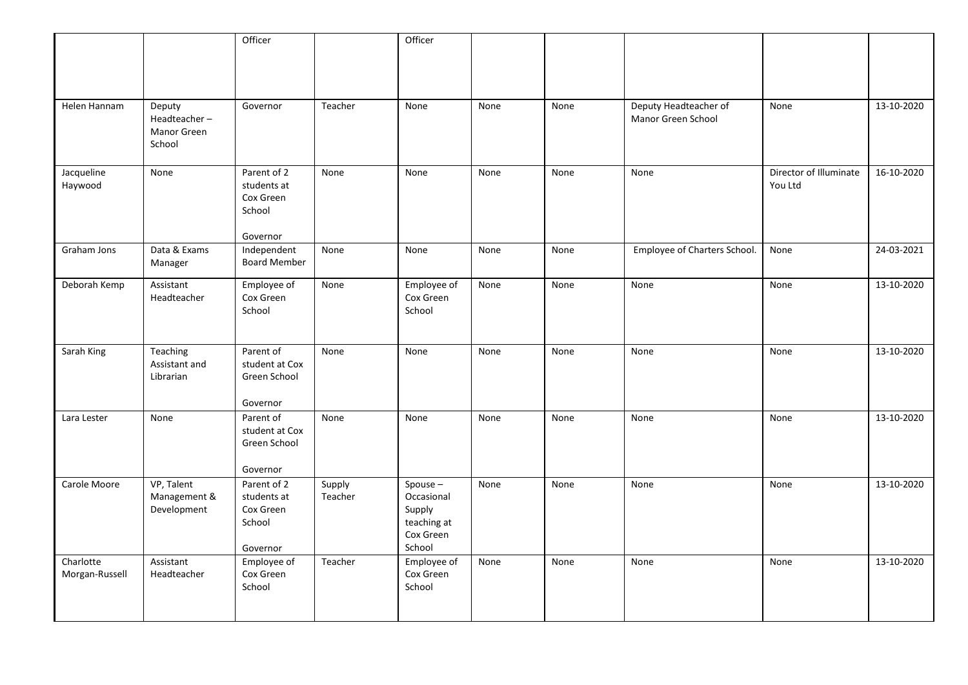|                             |                                                 | Officer                                                       |                   | Officer                                                                  |      |      |                                             |                                   |            |
|-----------------------------|-------------------------------------------------|---------------------------------------------------------------|-------------------|--------------------------------------------------------------------------|------|------|---------------------------------------------|-----------------------------------|------------|
|                             |                                                 |                                                               |                   |                                                                          |      |      |                                             |                                   |            |
| Helen Hannam                | Deputy<br>Headteacher-<br>Manor Green<br>School | Governor                                                      | Teacher           | None                                                                     | None | None | Deputy Headteacher of<br>Manor Green School | None                              | 13-10-2020 |
| Jacqueline<br>Haywood       | None                                            | Parent of 2<br>students at<br>Cox Green<br>School<br>Governor | None              | None                                                                     | None | None | None                                        | Director of Illuminate<br>You Ltd | 16-10-2020 |
| Graham Jons                 | Data & Exams<br>Manager                         | Independent<br><b>Board Member</b>                            | None              | None                                                                     | None | None | Employee of Charters School.                | None                              | 24-03-2021 |
| Deborah Kemp                | Assistant<br>Headteacher                        | Employee of<br>Cox Green<br>School                            | None              | Employee of<br>Cox Green<br>School                                       | None | None | None                                        | None                              | 13-10-2020 |
| Sarah King                  | Teaching<br>Assistant and<br>Librarian          | Parent of<br>student at Cox<br>Green School<br>Governor       | None              | None                                                                     | None | None | None                                        | None                              | 13-10-2020 |
| Lara Lester                 | None                                            | Parent of<br>student at Cox<br>Green School<br>Governor       | None              | None                                                                     | None | None | None                                        | None                              | 13-10-2020 |
| Carole Moore                | VP, Talent<br>Management &<br>Development       | Parent of 2<br>students at<br>Cox Green<br>School<br>Governor | Supply<br>Teacher | $Spouse -$<br>Occasional<br>Supply<br>teaching at<br>Cox Green<br>School | None | None | None                                        | None                              | 13-10-2020 |
| Charlotte<br>Morgan-Russell | Assistant<br>Headteacher                        | Employee of<br>Cox Green<br>School                            | Teacher           | Employee of<br>Cox Green<br>School                                       | None | None | None                                        | None                              | 13-10-2020 |